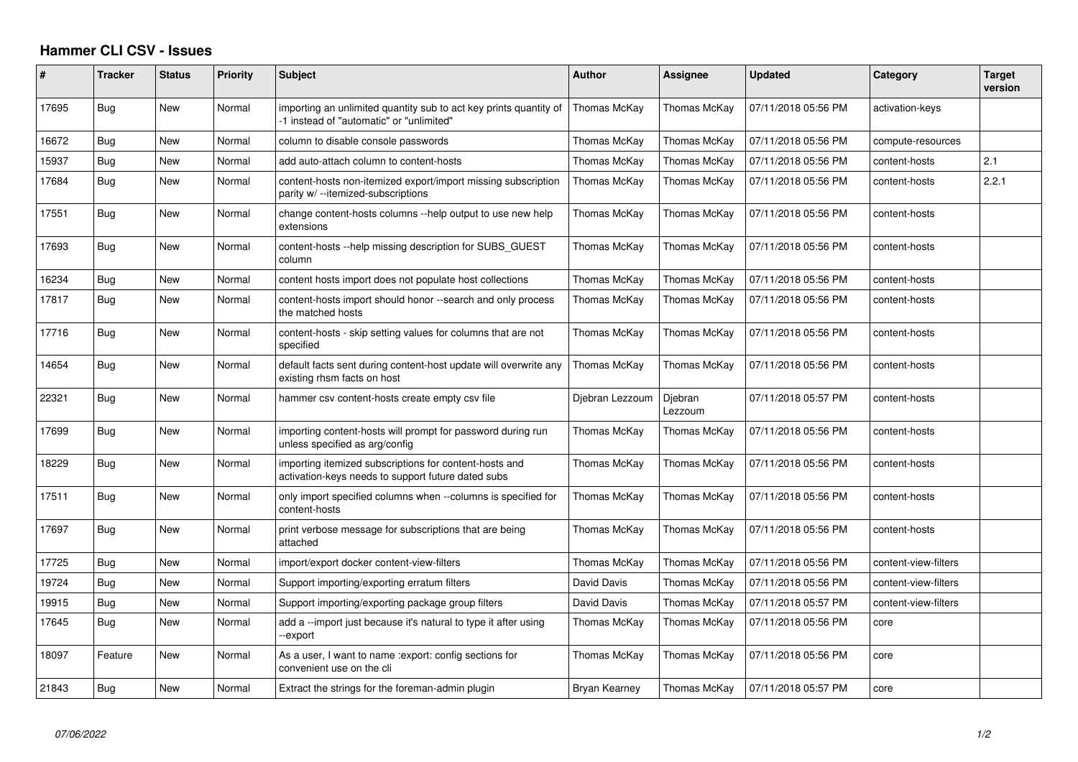## **Hammer CLI CSV - Issues**

| #     | <b>Tracker</b> | <b>Status</b> | <b>Priority</b> | <b>Subject</b>                                                                                                | <b>Author</b>        | Assignee           | <b>Updated</b>      | Category             | <b>Target</b><br>version |
|-------|----------------|---------------|-----------------|---------------------------------------------------------------------------------------------------------------|----------------------|--------------------|---------------------|----------------------|--------------------------|
| 17695 | Bug            | New           | Normal          | importing an unlimited quantity sub to act key prints quantity of<br>-1 instead of "automatic" or "unlimited" | Thomas McKay         | Thomas McKay       | 07/11/2018 05:56 PM | activation-keys      |                          |
| 16672 | Bug            | New           | Normal          | column to disable console passwords                                                                           | Thomas McKay         | Thomas McKay       | 07/11/2018 05:56 PM | compute-resources    |                          |
| 15937 | Bug            | New           | Normal          | add auto-attach column to content-hosts                                                                       | Thomas McKay         | Thomas McKay       | 07/11/2018 05:56 PM | content-hosts        | 2.1                      |
| 17684 | Bug            | New           | Normal          | content-hosts non-itemized export/import missing subscription<br>parity w/ --itemized-subscriptions           | Thomas McKay         | Thomas McKay       | 07/11/2018 05:56 PM | content-hosts        | 2.2.1                    |
| 17551 | Bug            | <b>New</b>    | Normal          | change content-hosts columns --help output to use new help<br>extensions                                      | Thomas McKay         | Thomas McKay       | 07/11/2018 05:56 PM | content-hosts        |                          |
| 17693 | Bug            | New           | Normal          | content-hosts --help missing description for SUBS GUEST<br>column                                             | Thomas McKav         | Thomas McKay       | 07/11/2018 05:56 PM | content-hosts        |                          |
| 16234 | Bug            | New           | Normal          | content hosts import does not populate host collections                                                       | Thomas McKay         | Thomas McKay       | 07/11/2018 05:56 PM | content-hosts        |                          |
| 17817 | Bug            | New           | Normal          | content-hosts import should honor --search and only process<br>the matched hosts                              | Thomas McKav         | Thomas McKay       | 07/11/2018 05:56 PM | content-hosts        |                          |
| 17716 | Bug            | New           | Normal          | content-hosts - skip setting values for columns that are not<br>specified                                     | Thomas McKay         | Thomas McKay       | 07/11/2018 05:56 PM | content-hosts        |                          |
| 14654 | Bug            | New           | Normal          | default facts sent during content-host update will overwrite any<br>existing rhsm facts on host               | Thomas McKay         | Thomas McKay       | 07/11/2018 05:56 PM | content-hosts        |                          |
| 22321 | Bug            | New           | Normal          | hammer csy content-hosts create empty csy file                                                                | Djebran Lezzoum      | Djebran<br>Lezzoum | 07/11/2018 05:57 PM | content-hosts        |                          |
| 17699 | Bug            | <b>New</b>    | Normal          | importing content-hosts will prompt for password during run<br>unless specified as arg/config                 | Thomas McKay         | Thomas McKav       | 07/11/2018 05:56 PM | content-hosts        |                          |
| 18229 | Bug            | New           | Normal          | importing itemized subscriptions for content-hosts and<br>activation-keys needs to support future dated subs  | Thomas McKay         | Thomas McKay       | 07/11/2018 05:56 PM | content-hosts        |                          |
| 17511 | Bug            | <b>New</b>    | Normal          | only import specified columns when --columns is specified for<br>content-hosts                                | Thomas McKay         | Thomas McKay       | 07/11/2018 05:56 PM | content-hosts        |                          |
| 17697 | Bug            | New           | Normal          | print verbose message for subscriptions that are being<br>attached                                            | Thomas McKay         | Thomas McKay       | 07/11/2018 05:56 PM | content-hosts        |                          |
| 17725 | Bug            | <b>New</b>    | Normal          | import/export docker content-view-filters                                                                     | Thomas McKay         | Thomas McKay       | 07/11/2018 05:56 PM | content-view-filters |                          |
| 19724 | Bug            | New           | Normal          | Support importing/exporting erratum filters                                                                   | David Davis          | Thomas McKay       | 07/11/2018 05:56 PM | content-view-filters |                          |
| 19915 | Bug            | <b>New</b>    | Normal          | Support importing/exporting package group filters                                                             | David Davis          | Thomas McKay       | 07/11/2018 05:57 PM | content-view-filters |                          |
| 17645 | Bug            | New           | Normal          | add a --import just because it's natural to type it after using<br>-export                                    | Thomas McKay         | Thomas McKay       | 07/11/2018 05:56 PM | core                 |                          |
| 18097 | Feature        | <b>New</b>    | Normal          | As a user, I want to name : export: config sections for<br>convenient use on the cli                          | Thomas McKay         | Thomas McKay       | 07/11/2018 05:56 PM | core                 |                          |
| 21843 | Bug            | <b>New</b>    | Normal          | Extract the strings for the foreman-admin plugin                                                              | <b>Bryan Kearney</b> | Thomas McKav       | 07/11/2018 05:57 PM | core                 |                          |